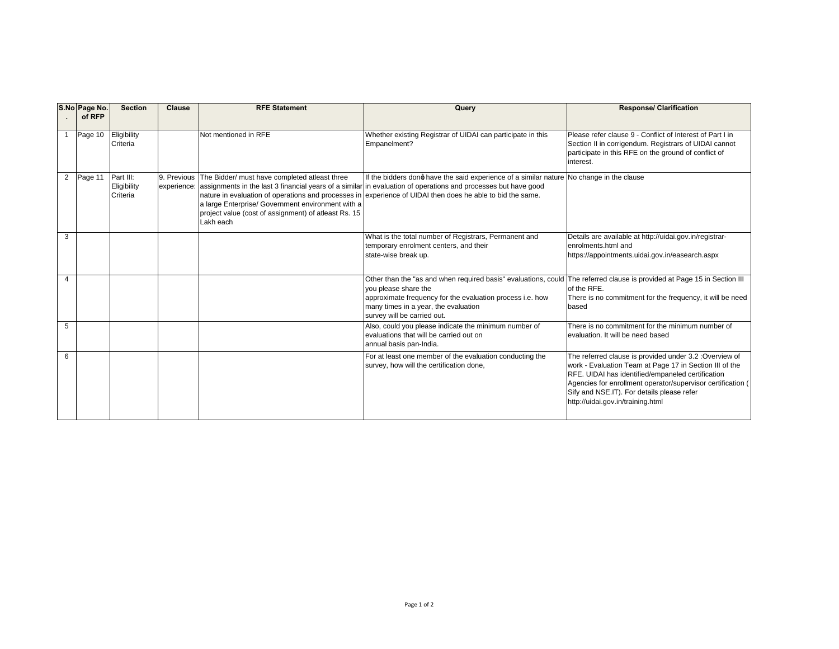| S.No Page No.<br>of RFP   | <b>Section</b>                       | <b>Clause</b> | <b>RFE Statement</b>                                                                                                                                                                | Query                                                                                                                                                                                                                                                                                                                                | <b>Response/ Clarification</b>                                                                                                                                                                                                                                                                                            |
|---------------------------|--------------------------------------|---------------|-------------------------------------------------------------------------------------------------------------------------------------------------------------------------------------|--------------------------------------------------------------------------------------------------------------------------------------------------------------------------------------------------------------------------------------------------------------------------------------------------------------------------------------|---------------------------------------------------------------------------------------------------------------------------------------------------------------------------------------------------------------------------------------------------------------------------------------------------------------------------|
| Page 10                   | Eligibility<br>Criteria              |               | Not mentioned in RFE                                                                                                                                                                | Whether existing Registrar of UIDAI can participate in this<br>Empanelment?                                                                                                                                                                                                                                                          | Please refer clause 9 - Conflict of Interest of Part I in<br>Section II in corrigendum. Registrars of UIDAI cannot<br>participate in this RFE on the ground of conflict of<br>interest.                                                                                                                                   |
| $\overline{2}$<br>Page 11 | Part III:<br>Eligibility<br>Criteria |               | 9. Previous The Bidder/ must have completed atleast three<br>a large Enterprise/ Government environment with a<br>project value (cost of assignment) of atleast Rs. 15<br>Lakh each | If the bidders dong have the said experience of a similar nature No change in the clause<br>experience: assignments in the last 3 financial years of a similar in evaluation of operations and processes but have good<br>nature in evaluation of operations and processes in experience of UIDAI then does he able to bid the same. |                                                                                                                                                                                                                                                                                                                           |
| 3                         |                                      |               |                                                                                                                                                                                     | What is the total number of Registrars, Permanent and<br>temporary enrolment centers, and their<br>state-wise break up.                                                                                                                                                                                                              | Details are available at http://uidai.gov.in/registrar-<br>enrolments html and<br>https://appointments.uidai.gov.in/easearch.aspx                                                                                                                                                                                         |
| Δ                         |                                      |               |                                                                                                                                                                                     | Other than the "as and when required basis" evaluations, could The referred clause is provided at Page 15 in Section III<br>you please share the<br>approximate frequency for the evaluation process i.e. how<br>many times in a year, the evaluation<br>survey will be carried out.                                                 | of the RFE.<br>There is no commitment for the frequency, it will be need<br>based                                                                                                                                                                                                                                         |
| 5                         |                                      |               |                                                                                                                                                                                     | Also, could you please indicate the minimum number of<br>evaluations that will be carried out on<br>annual basis pan-India.                                                                                                                                                                                                          | There is no commitment for the minimum number of<br>evaluation. It will be need based                                                                                                                                                                                                                                     |
| 6                         |                                      |               |                                                                                                                                                                                     | For at least one member of the evaluation conducting the<br>survey, how will the certification done,                                                                                                                                                                                                                                 | The referred clause is provided under 3.2 : Overview of<br>work - Evaluation Team at Page 17 in Section III of the<br>RFE. UIDAI has identified/empaneled certification<br>Agencies for enrollment operator/supervisor certification (<br>Sify and NSE.IT). For details please refer<br>http://uidai.gov.in/training.html |